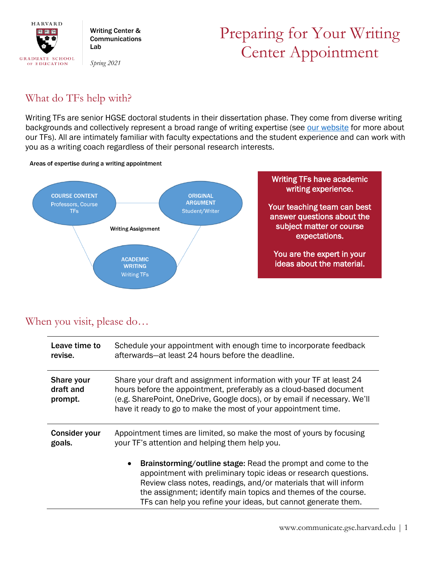

Writing Center & **Communications** Lab

*Spring 2021*

# Preparing for Your Writing Center Appointment

## What do TFs help with?

Writing TFs are senior HGSE doctoral students in their dissertation phase. They come from diverse writing backgrounds and collectively represent a broad range of writing expertise (see [our website](https://communicate.gse.harvard.edu/our-team) for more about our TFs). All are intimately familiar with faculty expectations and the student experience and can work with you as a writing coach regardless of their personal research interests.





### When you visit, please do…

| Leave time to                      | Schedule your appointment with enough time to incorporate feedback                                                                                                                                                                                                                                                                                        |
|------------------------------------|-----------------------------------------------------------------------------------------------------------------------------------------------------------------------------------------------------------------------------------------------------------------------------------------------------------------------------------------------------------|
| revise.                            | afterwards—at least 24 hours before the deadline.                                                                                                                                                                                                                                                                                                         |
| Share your<br>draft and<br>prompt. | Share your draft and assignment information with your TF at least 24<br>hours before the appointment, preferably as a cloud-based document<br>(e.g. SharePoint, OneDrive, Google docs), or by email if necessary. We'll<br>have it ready to go to make the most of your appointment time.                                                                 |
| <b>Consider your</b>               | Appointment times are limited, so make the most of yours by focusing                                                                                                                                                                                                                                                                                      |
| goals.                             | your TF's attention and helping them help you.                                                                                                                                                                                                                                                                                                            |
|                                    | <b>Brainstorming/outline stage:</b> Read the prompt and come to the<br>$\bullet$<br>appointment with preliminary topic ideas or research questions.<br>Review class notes, readings, and/or materials that will inform<br>the assignment; identify main topics and themes of the course.<br>TFs can help you refine your ideas, but cannot generate them. |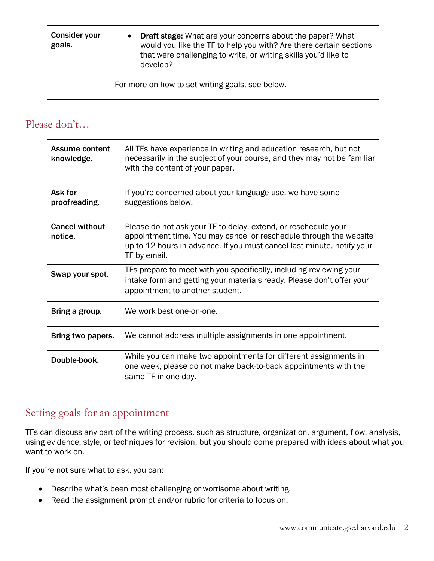Consider your goals. • Draft stage: What are your concerns about the paper? What would you like the TF to help you with? Are there certain sections that were challenging to write, or writing skills you'd like to develop?

For more on how to set writing goals, see below.

#### Please don't…

| Assume content<br>knowledge.     | All TFs have experience in writing and education research, but not<br>necessarily in the subject of your course, and they may not be familiar<br>with the content of your paper.                                               |
|----------------------------------|--------------------------------------------------------------------------------------------------------------------------------------------------------------------------------------------------------------------------------|
| Ask for<br>proofreading.         | If you're concerned about your language use, we have some<br>suggestions below.                                                                                                                                                |
| <b>Cancel without</b><br>notice. | Please do not ask your TF to delay, extend, or reschedule your<br>appointment time. You may cancel or reschedule through the website<br>up to 12 hours in advance. If you must cancel last-minute, notify your<br>TF by email. |
| Swap your spot.                  | TFs prepare to meet with you specifically, including reviewing your<br>intake form and getting your materials ready. Please don't offer your<br>appointment to another student.                                                |
| Bring a group.                   | We work best one-on-one.                                                                                                                                                                                                       |
| Bring two papers.                | We cannot address multiple assignments in one appointment.                                                                                                                                                                     |
| Double-book.                     | While you can make two appointments for different assignments in<br>one week, please do not make back-to-back appointments with the<br>same TF in one day.                                                                     |

#### Setting goals for an appointment

TFs can discuss any part of the writing process, such as structure, organization, argument, flow, analysis, using evidence, style, or techniques for revision, but you should come prepared with ideas about what you want to work on.

If you're not sure what to ask, you can:

- Describe what's been most challenging or worrisome about writing.
- Read the assignment prompt and/or rubric for criteria to focus on.